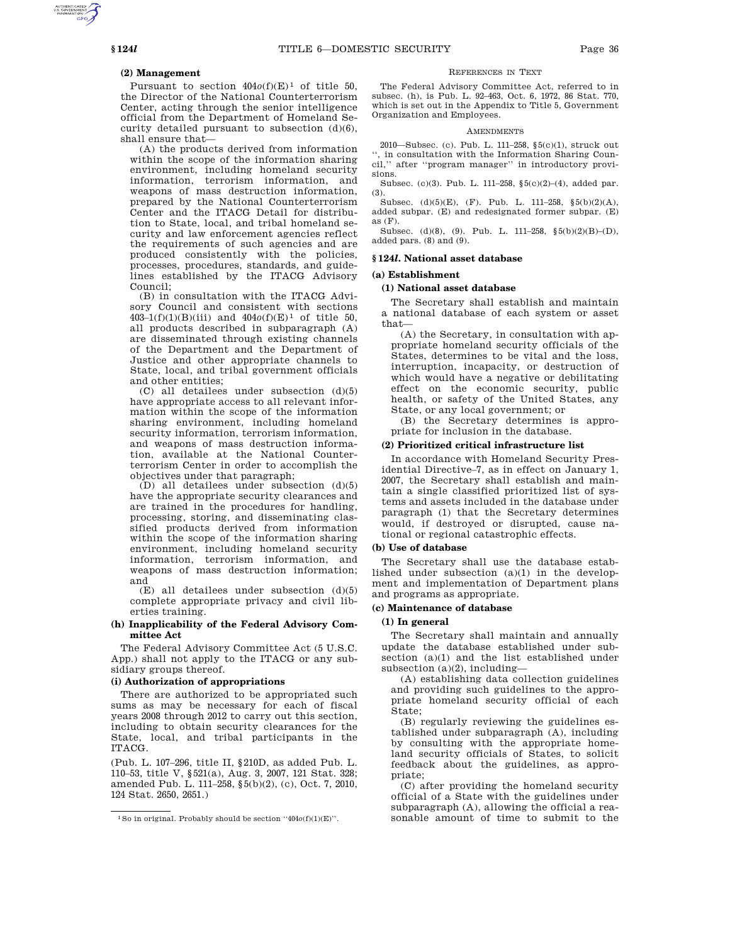# **(2) Management**

Pursuant to section  $404o(f)(E)^1$  of title 50, the Director of the National Counterterrorism Center, acting through the senior intelligence official from the Department of Homeland Security detailed pursuant to subsection (d)(6), shall ensure that—

(A) the products derived from information within the scope of the information sharing environment, including homeland security information, terrorism information, and weapons of mass destruction information, prepared by the National Counterterrorism Center and the ITACG Detail for distribution to State, local, and tribal homeland security and law enforcement agencies reflect the requirements of such agencies and are produced consistently with the policies, processes, procedures, standards, and guidelines established by the ITACG Advisory Council;

(B) in consultation with the ITACG Advisory Council and consistent with sections 403–1(f)(1)(B)(iii) and 404*o*(f)(E) 1 of title 50, all products described in subparagraph (A) are disseminated through existing channels of the Department and the Department of Justice and other appropriate channels to State, local, and tribal government officials and other entities;

(C) all detailees under subsection (d)(5) have appropriate access to all relevant information within the scope of the information sharing environment, including homeland security information, terrorism information, and weapons of mass destruction information, available at the National Counterterrorism Center in order to accomplish the objectives under that paragraph;

(D) all detailees under subsection (d)(5) have the appropriate security clearances and are trained in the procedures for handling, processing, storing, and disseminating classified products derived from information within the scope of the information sharing environment, including homeland security information, terrorism information, and weapons of mass destruction information; and

(E) all detailees under subsection (d)(5) complete appropriate privacy and civil liberties training.

#### **(h) Inapplicability of the Federal Advisory Committee Act**

The Federal Advisory Committee Act (5 U.S.C. App.) shall not apply to the ITACG or any subsidiary groups thereof.

### **(i) Authorization of appropriations**

There are authorized to be appropriated such sums as may be necessary for each of fiscal years 2008 through 2012 to carry out this section, including to obtain security clearances for the State, local, and tribal participants in the ITACG.

(Pub. L. 107–296, title II, §210D, as added Pub. L. 110–53, title V, §521(a), Aug. 3, 2007, 121 Stat. 328; amended Pub. L. 111–258, §5(b)(2), (c), Oct. 7, 2010, 124 Stat. 2650, 2651.)

#### REFERENCES IN TEXT

The Federal Advisory Committee Act, referred to in subsec. (h), is Pub. L. 92–463, Oct. 6, 1972, 86 Stat. 770, which is set out in the Appendix to Title 5, Government Organization and Employees.

#### **AMENDMENTS**

2010—Subsec. (c). Pub. L. 111–258, §5(c)(1), struck out '', in consultation with the Information Sharing Coun-' after "program manager" in introductory provisions.

Subsec. (c)(3). Pub. L. 111–258, §5(c)(2)–(4), added par. (3).

Subsec. (d)(5)(E), (F). Pub. L. 111–258, §5(b)(2)(A), added subpar. (E) and redesignated former subpar. (E) as  $(F)$ .

Subsec. (d)(8), (9). Pub. L. 111–258, §5(b)(2)(B)–(D), added pars. (8) and (9).

# **§ 124***l***. National asset database**

# **(a) Establishment**

### **(1) National asset database**

The Secretary shall establish and maintain a national database of each system or asset that—

(A) the Secretary, in consultation with appropriate homeland security officials of the States, determines to be vital and the loss, interruption, incapacity, or destruction of which would have a negative or debilitating effect on the economic security, public health, or safety of the United States, any State, or any local government; or

(B) the Secretary determines is appropriate for inclusion in the database.

### **(2) Prioritized critical infrastructure list**

In accordance with Homeland Security Presidential Directive–7, as in effect on January 1, 2007, the Secretary shall establish and maintain a single classified prioritized list of systems and assets included in the database under paragraph (1) that the Secretary determines would, if destroyed or disrupted, cause national or regional catastrophic effects.

## **(b) Use of database**

The Secretary shall use the database established under subsection (a)(1) in the development and implementation of Department plans and programs as appropriate.

### **(c) Maintenance of database**

#### **(1) In general**

The Secretary shall maintain and annually update the database established under subsection (a)(1) and the list established under subsection (a)(2), including—

(A) establishing data collection guidelines and providing such guidelines to the appropriate homeland security official of each State;

(B) regularly reviewing the guidelines established under subparagraph (A), including by consulting with the appropriate homeland security officials of States, to solicit feedback about the guidelines, as appropriate;

(C) after providing the homeland security official of a State with the guidelines under subparagraph (A), allowing the official a reasonable amount of time to submit to the

<sup>1</sup>So in original. Probably should be section ''404*o*(f)(1)(E)''.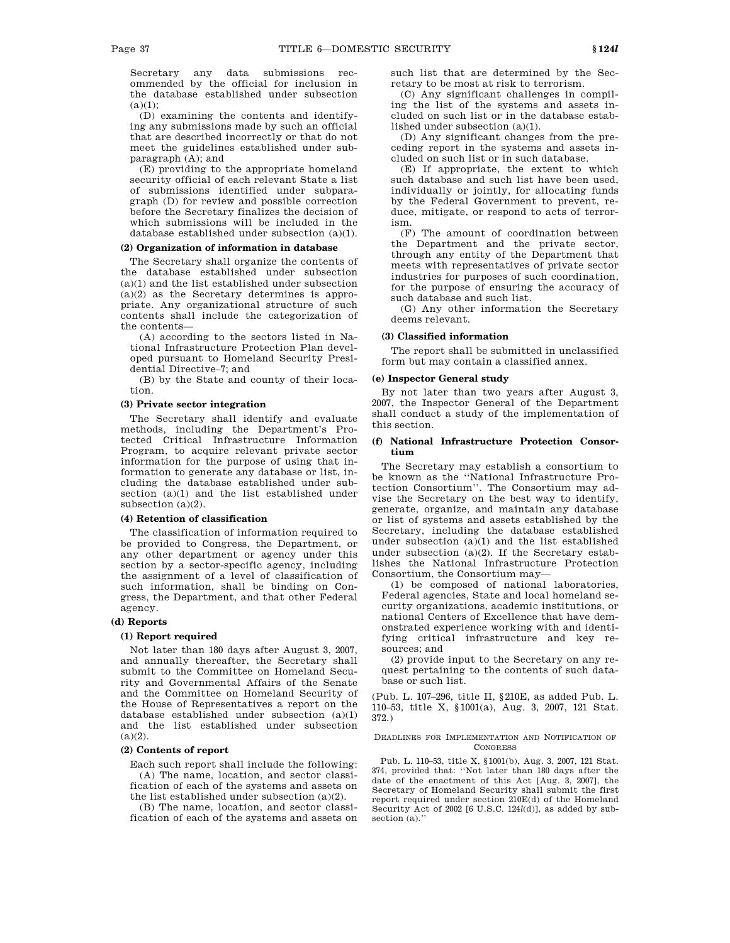Secretary any data submissions recommended by the official for inclusion in the database established under subsection  $(a)(1)$ ;

(D) examining the contents and identifying any submissions made by such an official that are described incorrectly or that do not meet the guidelines established under subparagraph (A); and

(E) providing to the appropriate homeland security official of each relevant State a list of submissions identified under subparagraph (D) for review and possible correction before the Secretary finalizes the decision of which submissions will be included in the database established under subsection (a)(1).

# **(2) Organization of information in database**

The Secretary shall organize the contents of the database established under subsection (a)(1) and the list established under subsection (a)(2) as the Secretary determines is appropriate. Any organizational structure of such contents shall include the categorization of the contents—

(A) according to the sectors listed in National Infrastructure Protection Plan developed pursuant to Homeland Security Presidential Directive–7; and

(B) by the State and county of their location.

## **(3) Private sector integration**

The Secretary shall identify and evaluate methods, including the Department's Protected Critical Infrastructure Information Program, to acquire relevant private sector information for the purpose of using that information to generate any database or list, including the database established under subsection (a)(1) and the list established under subsection (a)(2).

### **(4) Retention of classification**

The classification of information required to be provided to Congress, the Department, or any other department or agency under this section by a sector-specific agency, including the assignment of a level of classification of such information, shall be binding on Congress, the Department, and that other Federal agency.

# **(d) Reports**

#### **(1) Report required**

Not later than 180 days after August 3, 2007, and annually thereafter, the Secretary shall submit to the Committee on Homeland Security and Governmental Affairs of the Senate and the Committee on Homeland Security of the House of Representatives a report on the database established under subsection (a)(1) and the list established under subsection  $(a)(2)$ .

#### **(2) Contents of report**

Each such report shall include the following: (A) The name, location, and sector classification of each of the systems and assets on the list established under subsection (a)(2).

(B) The name, location, and sector classification of each of the systems and assets on such list that are determined by the Secretary to be most at risk to terrorism.

(C) Any significant challenges in compiling the list of the systems and assets included on such list or in the database established under subsection (a)(1).

(D) Any significant changes from the preceding report in the systems and assets included on such list or in such database.

(E) If appropriate, the extent to which such database and such list have been used, individually or jointly, for allocating funds by the Federal Government to prevent, reduce, mitigate, or respond to acts of terrorism.

(F) The amount of coordination between the Department and the private sector, through any entity of the Department that meets with representatives of private sector industries for purposes of such coordination, for the purpose of ensuring the accuracy of such database and such list.

(G) Any other information the Secretary deems relevant.

### **(3) Classified information**

The report shall be submitted in unclassified form but may contain a classified annex.

#### **(e) Inspector General study**

By not later than two years after August 3, 2007, the Inspector General of the Department shall conduct a study of the implementation of this section.

## **(f) National Infrastructure Protection Consortium**

The Secretary may establish a consortium to be known as the ''National Infrastructure Protection Consortium''. The Consortium may advise the Secretary on the best way to identify, generate, organize, and maintain any database or list of systems and assets established by the Secretary, including the database established under subsection (a)(1) and the list established under subsection  $(a)(2)$ . If the Secretary establishes the National Infrastructure Protection Consortium, the Consortium may—

(1) be composed of national laboratories, Federal agencies, State and local homeland security organizations, academic institutions, or national Centers of Excellence that have demonstrated experience working with and identifying critical infrastructure and key resources; and

(2) provide input to the Secretary on any request pertaining to the contents of such database or such list.

(Pub. L. 107–296, title II, §210E, as added Pub. L. 110–53, title X, §1001(a), Aug. 3, 2007, 121 Stat. 372.)

#### DEADLINES FOR IMPLEMENTATION AND NOTIFICATION OF **CONGRESS**

Pub. L. 110–53, title X, §1001(b), Aug. 3, 2007, 121 Stat. 374, provided that: ''Not later than 180 days after the date of the enactment of this Act [Aug. 3, 2007], the Secretary of Homeland Security shall submit the first report required under section 210E(d) of the Homeland Security Act of 2002 [6 U.S.C. 124*l*(d)], as added by subsection (a)."